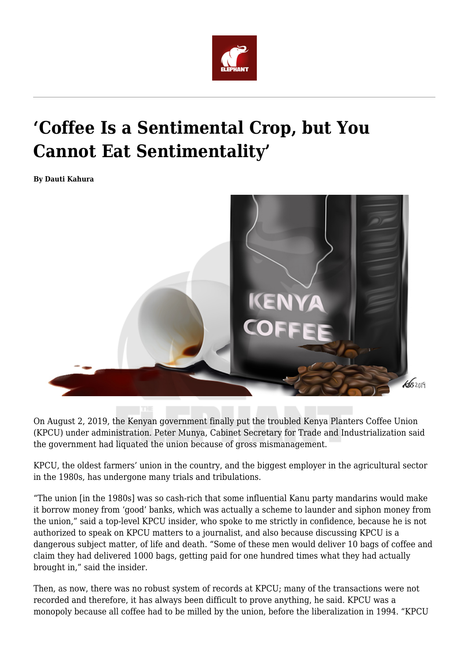

## **'Coffee Is a Sentimental Crop, but You Cannot Eat Sentimentality'**

**By Dauti Kahura**



On August 2, 2019, the Kenyan government finally put the troubled Kenya Planters Coffee Union (KPCU) under administration. Peter Munya, Cabinet Secretary for Trade and Industrialization said the government had liquated the union because of gross mismanagement.

KPCU, the oldest farmers' union in the country, and the biggest employer in the agricultural sector in the 1980s, has undergone many trials and tribulations.

"The union [in the 1980s] was so cash-rich that some influential Kanu party mandarins would make it borrow money from 'good' banks, which was actually a scheme to launder and siphon money from the union," said a top-level KPCU insider, who spoke to me strictly in confidence, because he is not authorized to speak on KPCU matters to a journalist, and also because discussing KPCU is a dangerous subject matter, of life and death. "Some of these men would deliver 10 bags of coffee and claim they had delivered 1000 bags, getting paid for one hundred times what they had actually brought in," said the insider.

Then, as now, there was no robust system of records at KPCU; many of the transactions were not recorded and therefore, it has always been difficult to prove anything, he said. KPCU was a monopoly because all coffee had to be milled by the union, before the liberalization in 1994. "KPCU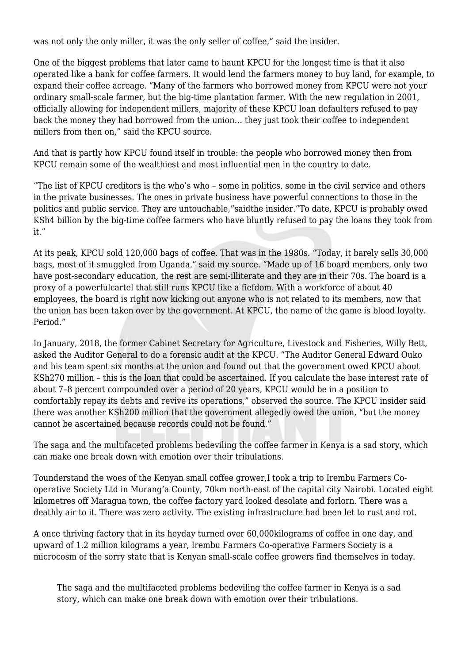was not only the only miller, it was the only seller of coffee," said the insider.

One of the biggest problems that later came to haunt KPCU for the longest time is that it also operated like a bank for coffee farmers. It would lend the farmers money to buy land, for example, to expand their coffee acreage. "Many of the farmers who borrowed money from KPCU were not your ordinary small-scale farmer, but the big-time plantation farmer. With the new regulation in 2001, officially allowing for independent millers, majority of these KPCU loan defaulters refused to pay back the money they had borrowed from the union… they just took their coffee to independent millers from then on," said the KPCU source.

And that is partly how KPCU found itself in trouble: the people who borrowed money then from KPCU remain some of the wealthiest and most influential men in the country to date.

"The list of KPCU creditors is the who's who – some in politics, some in the civil service and others in the private businesses. The ones in private business have powerful connections to those in the politics and public service. They are untouchable,"saidthe insider."To date, KPCU is probably owed KSh4 billion by the big-time coffee farmers who have bluntly refused to pay the loans they took from it."

At its peak, KPCU sold 120,000 bags of coffee. That was in the 1980s. "Today, it barely sells 30,000 bags, most of it smuggled from Uganda," said my source. "Made up of 16 board members, only two have post-secondary education, the rest are semi-illiterate and they are in their 70s. The board is a proxy of a powerfulcartel that still runs KPCU like a fiefdom. With a workforce of about 40 employees, the board is right now kicking out anyone who is not related to its members, now that the union has been taken over by the government. At KPCU, the name of the game is blood loyalty. Period."

In January, 2018, the former Cabinet Secretary for Agriculture, Livestock and Fisheries, Willy Bett, asked the Auditor General to do a forensic audit at the KPCU. "The Auditor General Edward Ouko and his team spent six months at the union and found out that the government owed KPCU about KSh270 million – this is the loan that could be ascertained. If you calculate the base interest rate of about 7–8 percent compounded over a period of 20 years, KPCU would be in a position to comfortably repay its debts and revive its operations," observed the source. The KPCU insider said there was another KSh200 million that the government allegedly owed the union, "but the money cannot be ascertained because records could not be found."

The saga and the multifaceted problems bedeviling the coffee farmer in Kenya is a sad story, which can make one break down with emotion over their tribulations.

Tounderstand the woes of the Kenyan small coffee grower,I took a trip to Irembu Farmers Cooperative Society Ltd in Murang'a County, 70km north-east of the capital city Nairobi. Located eight kilometres off Maragua town, the coffee factory yard looked desolate and forlorn. There was a deathly air to it. There was zero activity. The existing infrastructure had been let to rust and rot.

A once thriving factory that in its heyday turned over 60,000kilograms of coffee in one day, and upward of 1.2 million kilograms a year, Irembu Farmers Co-operative Farmers Society is a microcosm of the sorry state that is Kenyan small-scale coffee growers find themselves in today.

The saga and the multifaceted problems bedeviling the coffee farmer in Kenya is a sad story, which can make one break down with emotion over their tribulations.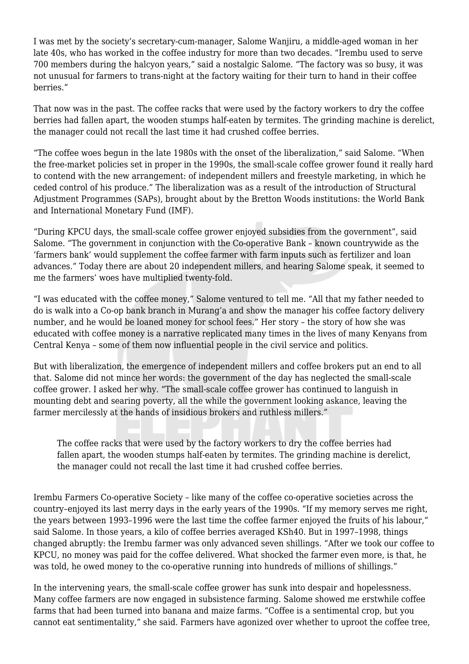I was met by the society's secretary-cum-manager, Salome Wanjiru, a middle-aged woman in her late 40s, who has worked in the coffee industry for more than two decades. "Irembu used to serve 700 members during the halcyon years," said a nostalgic Salome. "The factory was so busy, it was not unusual for farmers to trans-night at the factory waiting for their turn to hand in their coffee berries."

That now was in the past. The coffee racks that were used by the factory workers to dry the coffee berries had fallen apart, the wooden stumps half-eaten by termites. The grinding machine is derelict, the manager could not recall the last time it had crushed coffee berries.

"The coffee woes begun in the late 1980s with the onset of the liberalization," said Salome. "When the free-market policies set in proper in the 1990s, the small-scale coffee grower found it really hard to contend with the new arrangement: of independent millers and freestyle marketing, in which he ceded control of his produce." The liberalization was as a result of the introduction of Structural Adjustment Programmes (SAPs), brought about by the Bretton Woods institutions: the World Bank and International Monetary Fund (IMF).

"During KPCU days, the small-scale coffee grower enjoyed subsidies from the government", said Salome. "The government in conjunction with the Co-operative Bank – known countrywide as the 'farmers bank' would supplement the coffee farmer with farm inputs such as fertilizer and loan advances." Today there are about 20 independent millers, and hearing Salome speak, it seemed to me the farmers' woes have multiplied twenty-fold.

"I was educated with the coffee money," Salome ventured to tell me. "All that my father needed to do is walk into a Co-op bank branch in Murang'a and show the manager his coffee factory delivery number, and he would be loaned money for school fees." Her story – the story of how she was educated with coffee money is a narrative replicated many times in the lives of many Kenyans from Central Kenya – some of them now influential people in the civil service and politics.

But with liberalization, the emergence of independent millers and coffee brokers put an end to all that. Salome did not mince her words: the government of the day has neglected the small-scale coffee grower. I asked her why. "The small-scale coffee grower has continued to languish in mounting debt and searing poverty, all the while the government looking askance, leaving the farmer mercilessly at the hands of insidious brokers and ruthless millers."

The coffee racks that were used by the factory workers to dry the coffee berries had fallen apart, the wooden stumps half-eaten by termites. The grinding machine is derelict, the manager could not recall the last time it had crushed coffee berries.

Irembu Farmers Co-operative Society – like many of the coffee co-operative societies across the country–enjoyed its last merry days in the early years of the 1990s. "If my memory serves me right, the years between 1993–1996 were the last time the coffee farmer enjoyed the fruits of his labour," said Salome. In those years, a kilo of coffee berries averaged KSh40. But in 1997–1998, things changed abruptly: the Irembu farmer was only advanced seven shillings. "After we took our coffee to KPCU, no money was paid for the coffee delivered. What shocked the farmer even more, is that, he was told, he owed money to the co-operative running into hundreds of millions of shillings."

In the intervening years, the small-scale coffee grower has sunk into despair and hopelessness. Many coffee farmers are now engaged in subsistence farming. Salome showed me erstwhile coffee farms that had been turned into banana and maize farms. "Coffee is a sentimental crop, but you cannot eat sentimentality," she said. Farmers have agonized over whether to uproot the coffee tree,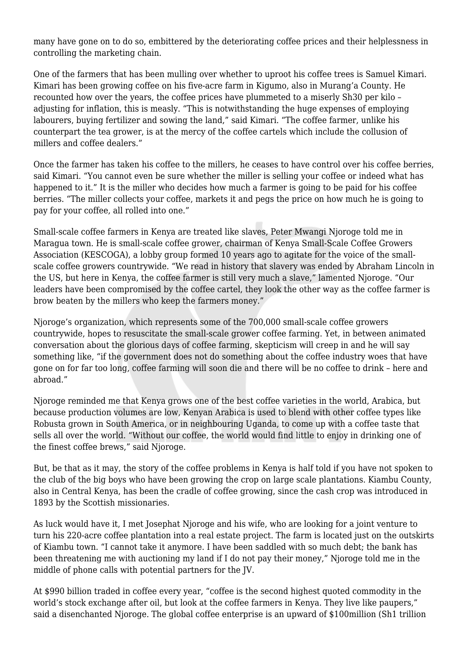many have gone on to do so, embittered by the deteriorating coffee prices and their helplessness in controlling the marketing chain.

One of the farmers that has been mulling over whether to uproot his coffee trees is Samuel Kimari. Kimari has been growing coffee on his five-acre farm in Kigumo, also in Murang'a County. He recounted how over the years, the coffee prices have plummeted to a miserly Sh30 per kilo – adjusting for inflation, this is measly. "This is notwithstanding the huge expenses of employing labourers, buying fertilizer and sowing the land," said Kimari. "The coffee farmer, unlike his counterpart the tea grower, is at the mercy of the coffee cartels which include the collusion of millers and coffee dealers."

Once the farmer has taken his coffee to the millers, he ceases to have control over his coffee berries, said Kimari. "You cannot even be sure whether the miller is selling your coffee or indeed what has happened to it." It is the miller who decides how much a farmer is going to be paid for his coffee berries. "The miller collects your coffee, markets it and pegs the price on how much he is going to pay for your coffee, all rolled into one."

Small-scale coffee farmers in Kenya are treated like slaves, Peter Mwangi Njoroge told me in Maragua town. He is small-scale coffee grower, chairman of Kenya Small-Scale Coffee Growers Association (KESCOGA), a lobby group formed 10 years ago to agitate for the voice of the smallscale coffee growers countrywide. "We read in history that slavery was ended by Abraham Lincoln in the US, but here in Kenya, the coffee farmer is still very much a slave," lamented Njoroge. "Our leaders have been compromised by the coffee cartel, they look the other way as the coffee farmer is brow beaten by the millers who keep the farmers money."

Njoroge's organization, which represents some of the 700,000 small-scale coffee growers countrywide, hopes to resuscitate the small-scale grower coffee farming. Yet, in between animated conversation about the glorious days of coffee farming, skepticism will creep in and he will say something like, "if the government does not do something about the coffee industry woes that have gone on for far too long, coffee farming will soon die and there will be no coffee to drink – here and abroad."

Njoroge reminded me that Kenya grows one of the best coffee varieties in the world, Arabica, but because production volumes are low, Kenyan Arabica is used to blend with other coffee types like Robusta grown in South America, or in neighbouring Uganda, to come up with a coffee taste that sells all over the world. "Without our coffee, the world would find little to enjoy in drinking one of the finest coffee brews," said Njoroge.

But, be that as it may, the story of the coffee problems in Kenya is half told if you have not spoken to the club of the big boys who have been growing the crop on large scale plantations. Kiambu County, also in Central Kenya, has been the cradle of coffee growing, since the cash crop was introduced in 1893 by the Scottish missionaries.

As luck would have it, I met Josephat Njoroge and his wife, who are looking for a joint venture to turn his 220-acre coffee plantation into a real estate project. The farm is located just on the outskirts of Kiambu town. "I cannot take it anymore. I have been saddled with so much debt; the bank has been threatening me with auctioning my land if I do not pay their money," Njoroge told me in the middle of phone calls with potential partners for the JV.

At \$990 billion traded in coffee every year, "coffee is the second highest quoted commodity in the world's stock exchange after oil, but look at the coffee farmers in Kenya. They live like paupers," said a disenchanted Njoroge. The global coffee enterprise is an upward of \$100million (Sh1 trillion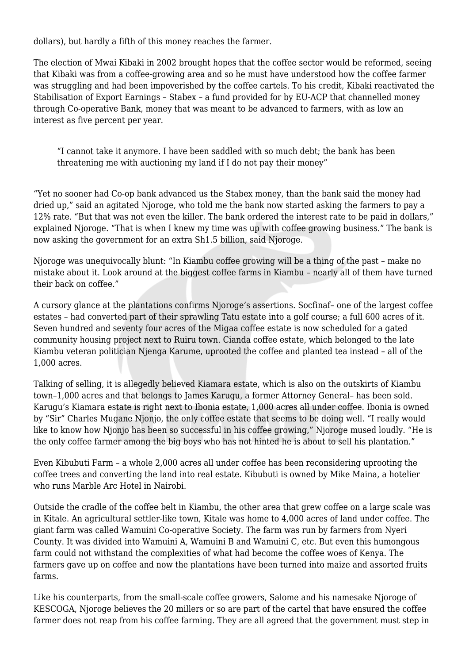dollars), but hardly a fifth of this money reaches the farmer.

The election of Mwai Kibaki in 2002 brought hopes that the coffee sector would be reformed, seeing that Kibaki was from a coffee-growing area and so he must have understood how the coffee farmer was struggling and had been impoverished by the coffee cartels. To his credit, Kibaki reactivated the Stabilisation of Export Earnings – Stabex – a fund provided for by EU-ACP that channelled money through Co-operative Bank, money that was meant to be advanced to farmers, with as low an interest as five percent per year.

"I cannot take it anymore. I have been saddled with so much debt; the bank has been threatening me with auctioning my land if I do not pay their money"

"Yet no sooner had Co-op bank advanced us the Stabex money, than the bank said the money had dried up," said an agitated Njoroge, who told me the bank now started asking the farmers to pay a 12% rate. "But that was not even the killer. The bank ordered the interest rate to be paid in dollars," explained Njoroge. "That is when I knew my time was up with coffee growing business." The bank is now asking the government for an extra Sh1.5 billion, said Njoroge.

Njoroge was unequivocally blunt: "In Kiambu coffee growing will be a thing of the past – make no mistake about it. Look around at the biggest coffee farms in Kiambu – nearly all of them have turned their back on coffee."

A cursory glance at the plantations confirms Njoroge's assertions. Socfinaf– one of the largest coffee estates – had converted part of their sprawling Tatu estate into a golf course; a full 600 acres of it. Seven hundred and seventy four acres of the Migaa coffee estate is now scheduled for a gated community housing project next to Ruiru town. Cianda coffee estate, which belonged to the late Kiambu veteran politician Njenga Karume, uprooted the coffee and planted tea instead – all of the 1,000 acres.

Talking of selling, it is allegedly believed Kiamara estate, which is also on the outskirts of Kiambu town–1,000 acres and that belongs to James Karugu, a former Attorney General– has been sold. Karugu's Kiamara estate is right next to Ibonia estate, 1,000 acres all under coffee. Ibonia is owned by "Sir" Charles Mugane Njonjo, the only coffee estate that seems to be doing well. "I really would like to know how Njonjo has been so successful in his coffee growing," Njoroge mused loudly. "He is the only coffee farmer among the big boys who has not hinted he is about to sell his plantation."

Even Kibubuti Farm – a whole 2,000 acres all under coffee has been reconsidering uprooting the coffee trees and converting the land into real estate. Kibubuti is owned by Mike Maina, a hotelier who runs Marble Arc Hotel in Nairobi.

Outside the cradle of the coffee belt in Kiambu, the other area that grew coffee on a large scale was in Kitale. An agricultural settler-like town, Kitale was home to 4,000 acres of land under coffee. The giant farm was called Wamuini Co-operative Society. The farm was run by farmers from Nyeri County. It was divided into Wamuini A, Wamuini B and Wamuini C, etc. But even this humongous farm could not withstand the complexities of what had become the coffee woes of Kenya. The farmers gave up on coffee and now the plantations have been turned into maize and assorted fruits farms.

Like his counterparts, from the small-scale coffee growers, Salome and his namesake Njoroge of KESCOGA, Njoroge believes the 20 millers or so are part of the cartel that have ensured the coffee farmer does not reap from his coffee farming. They are all agreed that the government must step in